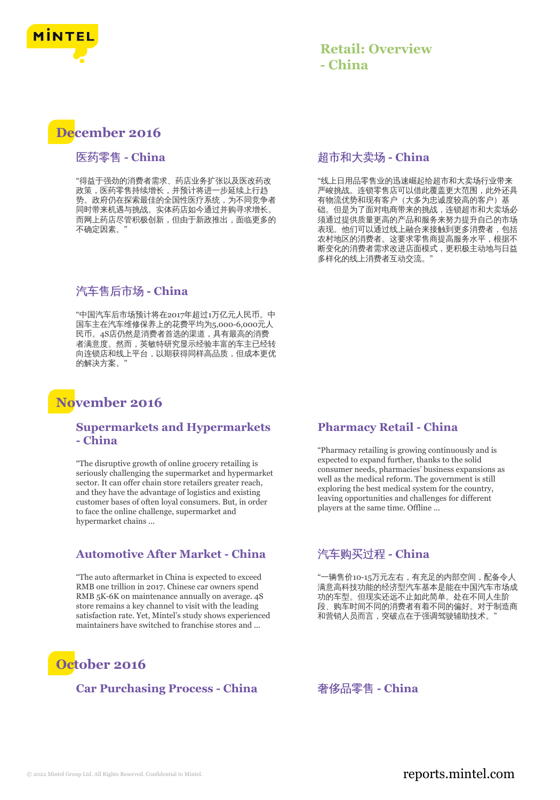

# **December 2016**

#### 医药零售 **- China**

"得益于强劲的消费者需求、药店业务扩张以及医改药改 政策,医药零售持续增长,并预计将进一步延续上行趋 势。政府仍在探索最佳的全国性医疗系统,为不同竞争者 同时带来机遇与挑战。实体药店如今通过并购寻求增长。 而网上药店尽管积极创新,但由于新政推出,面临更多的 不确定因素。

### 汽车售后市场 **- China**

"中国汽车后市场预计将在2017年超过1万亿元人民币。中 国车主在汽车维修保养上的花费平均为5,000-6,000元人 民币。4S店仍然是消费者首选的渠道,具有最高的消费 者满意度。然而,英敏特研究显示经验丰富的车主已经转 向连锁店和线上平台,以期获得同样高品质,但成本更优 的解决方案。"

# **November 2016**

#### **Supermarkets and Hypermarkets - China**

"The disruptive growth of online grocery retailing is seriously challenging the supermarket and hypermarket sector. It can offer chain store retailers greater reach, and they have the advantage of logistics and existing customer bases of often loyal consumers. But, in order to face the online challenge, supermarket and hypermarket chains ...

#### **Automotive After Market - China**

"The auto aftermarket in China is expected to exceed RMB one trillion in 2017. Chinese car owners spend RMB 5K-6K on maintenance annually on average. 4S store remains a key channel to visit with the leading satisfaction rate. Yet, Mintel's study shows experienced maintainers have switched to franchise stores and ...

# **October 2016**

#### **Car Purchasing Process - China** 奢侈品零售 **- China**

#### 超市和大卖场 **- China**

"线上日用品零售业的迅速崛起给超市和大卖场行业带来 严峻挑战。连锁零售店可以借此覆盖更大范围,此外还具 有物流优势和现有客户(大多为忠诚度较高的客户)基 础。但是为了面对电商带来的挑战,连锁超市和大卖场必 须通过提供质量更高的产品和服务来努力提升自己的市场 表现。他们可以通过线上融合来接触到更多消费者,包括 农村地区的消费者。这要求零售商提高服务水平,根据不 断变化的消费者需求改进店面模式,更积极主动地与日益 多样化的线上消费者互动交流。"

#### **Pharmacy Retail - China**

"Pharmacy retailing is growing continuously and is expected to expand further, thanks to the solid consumer needs, pharmacies' business expansions as well as the medical reform. The government is still exploring the best medical system for the country, leaving opportunities and challenges for different players at the same time. Offline ...

### 汽车购买过程 **- China**

"一辆售价10-15万元左右,有充足的内部空间,配备令人 满意高科技功能的经济型汽车基本是能在中国汽车市场成 功的车型。但现实还远不止如此简单。处在不同人生阶 段、购车时间不同的消费者有着不同的偏好。对于制造商 和营销人员而言, 突破点在于强调驾驶辅助技术。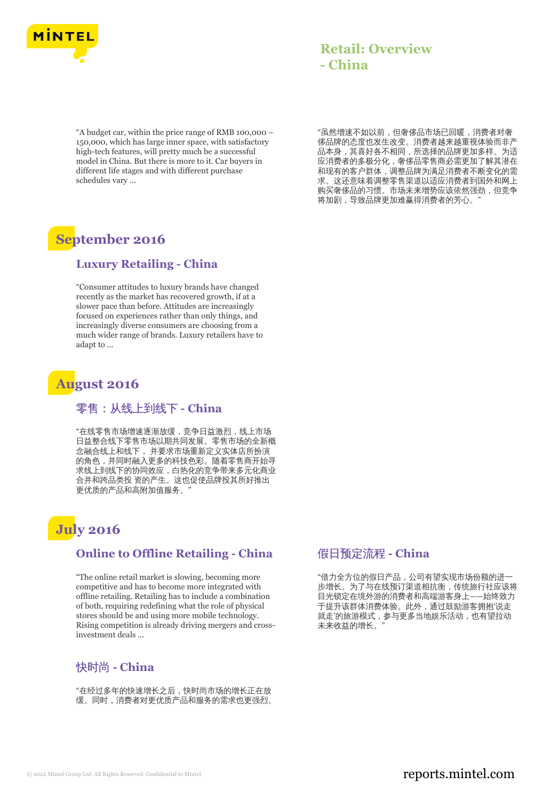

"A budget car, within the price range of RMB 100,000 – 150,000, which has large inner space, with satisfactory high-tech features, will pretty much be a successful model in China. But there is more to it. Car buyers in different life stages and with different purchase schedules vary ...

# **September 2016**

#### **Luxury Retailing - China**

"Consumer attitudes to luxury brands have changed recently as the market has recovered growth, if at a slower pace than before. Attitudes are increasingly focused on experiences rather than only things, and increasingly diverse consumers are choosing from a much wider range of brands. Luxury retailers have to adapt to ...

# **August 2016**

#### 零售:从线上到线下 **- China**

"在线零售市场增速逐渐放缓,竞争日益激烈,线上市场 日益整合线下零售市场以期共同发展。零售市场的全新概 念融合线上和线下, 并要求市场重新定义实体店所扮演 的角色,并同时融入更多的科技色彩。随着零售商开始寻 求线上到线下的协同效应,白热化的竞争带来多元化商业 合并和跨品类投 资的产生。这也促使品牌投其所好推出 更优质的产品和高附加值服务。"

# **July 2016**

#### **Online to Offline Retailing - China**

"The online retail market is slowing, becoming more competitive and has to become more integrated with offline retailing. Retailing has to include a combination of both, requiring redefining what the role of physical stores should be and using more mobile technology. Rising competition is already driving mergers and crossinvestment deals ...

### 快时尚 **- China**

"在经过多年的快速增长之后,快时尚市场的增长正在放 缓。同时,消费者对更优质产品和服务的需求也更强烈。

"虽然增速不如以前,但奢侈品市场已回暖,消费者对奢 侈品牌的态度也发生改变。消费者越来越重视体验而非产 品本身,其喜好各不相同,所选择的品牌更加多样。为适 应消费者的多极分化,奢侈品零售商必需更加了解其潜在 和现有的客户群体,调整品牌为满足消费者不断变化的需 求。这还意味着调整零售渠道以适应消费者到国外和网上 购买奢侈品的习惯。市场未来增势应该依然强劲,但竞争 将加剧,导致品牌更加难赢得消费者的芳心。"

#### 假日预定流程 **- China**

"借力全方位的假日产品,公司有望实现市场份额的进一 步增长。为了与在线预订渠道相抗衡,传统旅行社应该将 目光锁定在境外游的消费者和高端游客身上——始终致力 于提升该群体消费体验。此外,通过鼓励游客拥抱'说走 就走'的旅游模式,参与更多当地娱乐活动,也有望拉动 未来收益的增长。"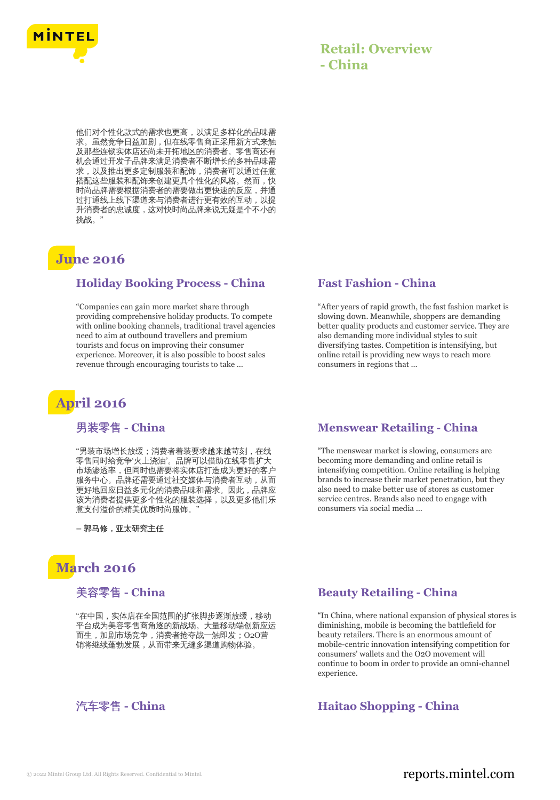

他们对个性化款式的需求也更高,以满足多样化的品味需 求。虽然竞争日益加剧,但在线零售商正采用新方式来触 及那些连锁实体店还尚未开拓地区的消费者。零售商还有 机会通过开发子品牌来满足消费者不断增长的多种品味需 求,以及推出更多定制服装和配饰,消费者可以通过任意 搭配这些服装和配饰来创建更具个性化的风格。然而,快 时尚品牌需要根据消费者的需要做出更快速的反应,并通 过打通线上线下渠道来与消费者进行更有效的互动,以提 升消费者的忠诚度,这对快时尚品牌来说无疑是个不小的 挑战。"

# **June 2016**

#### **Holiday Booking Process - China**

"Companies can gain more market share through providing comprehensive holiday products. To compete with online booking channels, traditional travel agencies need to aim at outbound travellers and premium tourists and focus on improving their consumer experience. Moreover, it is also possible to boost sales revenue through encouraging tourists to take ...

# **April 2016**

#### 男装零售 **- China**

"男装市场增长放缓;消费者着装要求越来越苛刻,在线 零售同时给竞争'火上浇油'。品牌可以借助在线零售扩大 市场渗透率,但同时也需要将实体店打造成为更好的客户 服务中心。品牌还需要通过社交媒体与消费者互动,从而 更好地回应日益多元化的消费品味和需求。因此,品牌应 该为消费者提供更多个性化的服装选择,以及更多他们乐 意支付溢价的精美优质时尚服饰。

**–** 郭马修,亚太研究主任

# **March 2016**

#### 美容零售 **- China**

"在中国,实体店在全国范围的扩张脚步逐渐放缓,移动 平台成为美容零售商角逐的新战场。大量移动端创新应运 而生,加剧市场竞争,消费者抢夺战一触即发;O2O营 销将继续蓬勃发展,从而带来无缝多渠道购物体验。

#### **Fast Fashion - China**

"After years of rapid growth, the fast fashion market is slowing down. Meanwhile, shoppers are demanding better quality products and customer service. They are also demanding more individual styles to suit diversifying tastes. Competition is intensifying, but online retail is providing new ways to reach more consumers in regions that ...

#### **Menswear Retailing - China**

"The menswear market is slowing, consumers are becoming more demanding and online retail is intensifying competition. Online retailing is helping brands to increase their market penetration, but they also need to make better use of stores as customer service centres. Brands also need to engage with consumers via social media ...

#### **Beauty Retailing - China**

"In China, where national expansion of physical stores is diminishing, mobile is becoming the battlefield for beauty retailers. There is an enormous amount of mobile-centric innovation intensifying competition for consumers' wallets and the O2O movement will continue to boom in order to provide an omni-channel experience.

#### 汽车零售 - China **Haitao Shopping - China**

### © 2022 Mintel Group Ltd. All Rights Reserved. Confidential to Mintel.  $\blacksquare$  reports.mintel.com